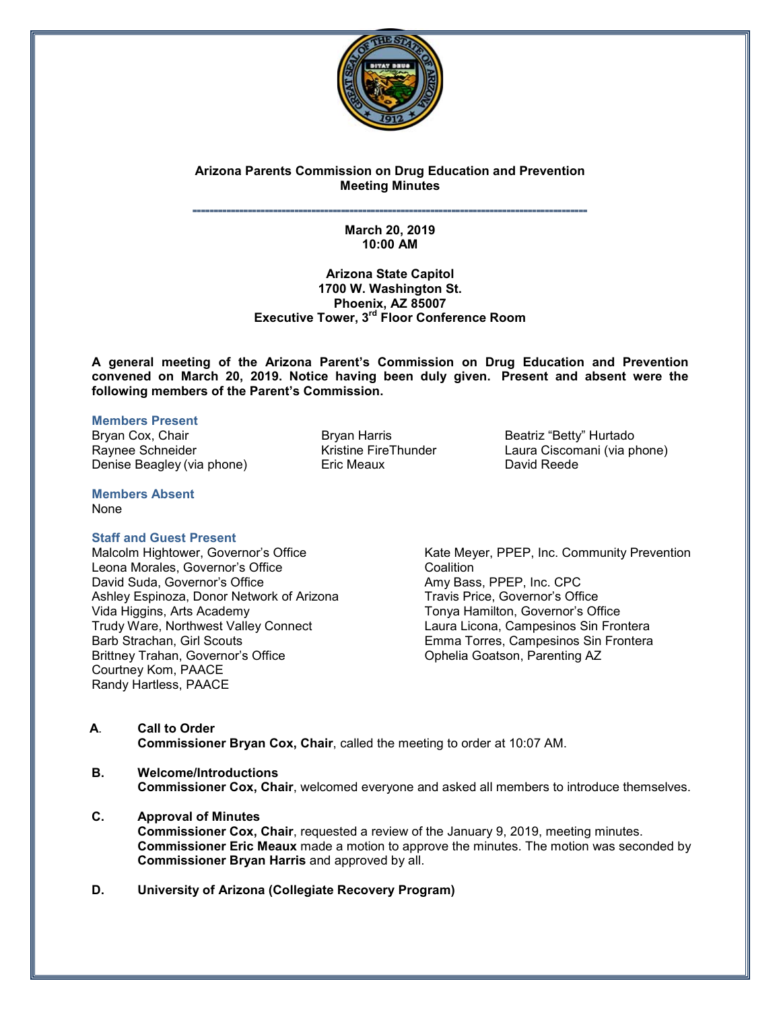

# **Arizona Parents Commission on Drug Education and Prevention Meeting Minutes**

#### **˭˭˭˭˭˭˭˭˭˭˭˭˭˭˭˭˭˭˭˭˭˭˭˭˭˭˭˭˭˭˭˭˭˭˭˭˭˭˭˭˭˭˭˭˭˭˭˭˭˭˭˭˭˭˭˭˭˭˭˭˭˭˭˭˭˭˭˭˭˭˭˭˭˭˭˭˭˭˭˭˭˭˭˭˭˭˭˭˭˭˭˭˭ March 20, 2019 10:00 AM**

### **Arizona State Capitol 1700 W. Washington St. Phoenix, AZ 85007 Executive Tower, 3rd Floor Conference Room**

**A general meeting of the Arizona Parent's Commission on Drug Education and Prevention convened on March 20, 2019. Notice having been duly given. Present and absent were the following members of the Parent's Commission.**

#### **Members Present**

Bryan Cox, Chair **Bryan Harris 1998** Beatriz "Betty" Hurtado<br>Bryan Beatriz "Beatriz "Beatriz "Beatriz "Beatriz "Beatriz "Beatriz "Beatriz "Beatriz province" Beatriz in Beat Denise Beagley (via phone) Eric Meaux David Reede

Laura Ciscomani (via phone)

**Members Absent**  None

### **Staff and Guest Present**

Malcolm Hightower, Governor's Office Leona Morales, Governor's Office David Suda, Governor's Office Ashley Espinoza, Donor Network of Arizona Vida Higgins, Arts Academy Trudy Ware, Northwest Valley Connect Barb Strachan, Girl Scouts Brittney Trahan, Governor's Office Courtney Kom, PAACE Randy Hartless, PAACE

Kate Meyer, PPEP, Inc. Community Prevention **Coalition** Amy Bass, PPEP, Inc. CPC Travis Price, Governor's Office Tonya Hamilton, Governor's Office Laura Licona, Campesinos Sin Frontera Emma Torres, Campesinos Sin Frontera Ophelia Goatson, Parenting AZ

- **A**. **Call to Order Commissioner Bryan Cox, Chair**, called the meeting to order at 10:07 AM.
- **B. Welcome/Introductions Commissioner Cox, Chair**, welcomed everyone and asked all members to introduce themselves.
- **C. Approval of Minutes Commissioner Cox, Chair**, requested a review of the January 9, 2019, meeting minutes. **Commissioner Eric Meaux** made a motion to approve the minutes. The motion was seconded by **Commissioner Bryan Harris** and approved by all.
- **D. University of Arizona (Collegiate Recovery Program)**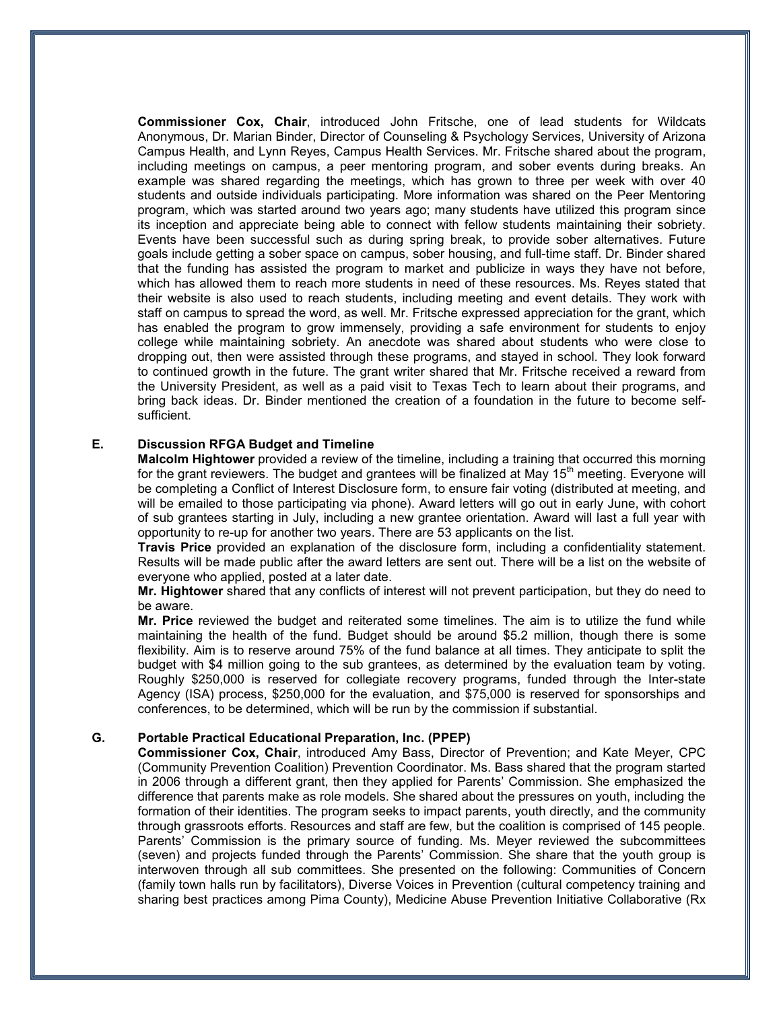**Commissioner Cox, Chair**, introduced John Fritsche, one of lead students for Wildcats Anonymous, Dr. Marian Binder, Director of Counseling & Psychology Services, University of Arizona Campus Health, and Lynn Reyes, Campus Health Services. Mr. Fritsche shared about the program, including meetings on campus, a peer mentoring program, and sober events during breaks. An example was shared regarding the meetings, which has grown to three per week with over 40 students and outside individuals participating. More information was shared on the Peer Mentoring program, which was started around two years ago; many students have utilized this program since its inception and appreciate being able to connect with fellow students maintaining their sobriety. Events have been successful such as during spring break, to provide sober alternatives. Future goals include getting a sober space on campus, sober housing, and full-time staff. Dr. Binder shared that the funding has assisted the program to market and publicize in ways they have not before, which has allowed them to reach more students in need of these resources. Ms. Reyes stated that their website is also used to reach students, including meeting and event details. They work with staff on campus to spread the word, as well. Mr. Fritsche expressed appreciation for the grant, which has enabled the program to grow immensely, providing a safe environment for students to enjoy college while maintaining sobriety. An anecdote was shared about students who were close to dropping out, then were assisted through these programs, and stayed in school. They look forward to continued growth in the future. The grant writer shared that Mr. Fritsche received a reward from the University President, as well as a paid visit to Texas Tech to learn about their programs, and bring back ideas. Dr. Binder mentioned the creation of a foundation in the future to become selfsufficient.

## **E. Discussion RFGA Budget and Timeline**

**Malcolm Hightower** provided a review of the timeline, including a training that occurred this morning for the grant reviewers. The budget and grantees will be finalized at May 15<sup>th</sup> meeting. Everyone will be completing a Conflict of Interest Disclosure form, to ensure fair voting (distributed at meeting, and will be emailed to those participating via phone). Award letters will go out in early June, with cohort of sub grantees starting in July, including a new grantee orientation. Award will last a full year with opportunity to re-up for another two years. There are 53 applicants on the list.

**Travis Price** provided an explanation of the disclosure form, including a confidentiality statement. Results will be made public after the award letters are sent out. There will be a list on the website of everyone who applied, posted at a later date.

**Mr. Hightower** shared that any conflicts of interest will not prevent participation, but they do need to be aware.

**Mr. Price** reviewed the budget and reiterated some timelines. The aim is to utilize the fund while maintaining the health of the fund. Budget should be around \$5.2 million, though there is some flexibility. Aim is to reserve around 75% of the fund balance at all times. They anticipate to split the budget with \$4 million going to the sub grantees, as determined by the evaluation team by voting. Roughly \$250,000 is reserved for collegiate recovery programs, funded through the Inter-state Agency (ISA) process, \$250,000 for the evaluation, and \$75,000 is reserved for sponsorships and conferences, to be determined, which will be run by the commission if substantial.

#### **G. Portable Practical Educational Preparation, Inc. (PPEP)**

**Commissioner Cox, Chair**, introduced Amy Bass, Director of Prevention; and Kate Meyer, CPC (Community Prevention Coalition) Prevention Coordinator. Ms. Bass shared that the program started in 2006 through a different grant, then they applied for Parents' Commission. She emphasized the difference that parents make as role models. She shared about the pressures on youth, including the formation of their identities. The program seeks to impact parents, youth directly, and the community through grassroots efforts. Resources and staff are few, but the coalition is comprised of 145 people. Parents' Commission is the primary source of funding. Ms. Meyer reviewed the subcommittees (seven) and projects funded through the Parents' Commission. She share that the youth group is interwoven through all sub committees. She presented on the following: Communities of Concern (family town halls run by facilitators), Diverse Voices in Prevention (cultural competency training and sharing best practices among Pima County), Medicine Abuse Prevention Initiative Collaborative (Rx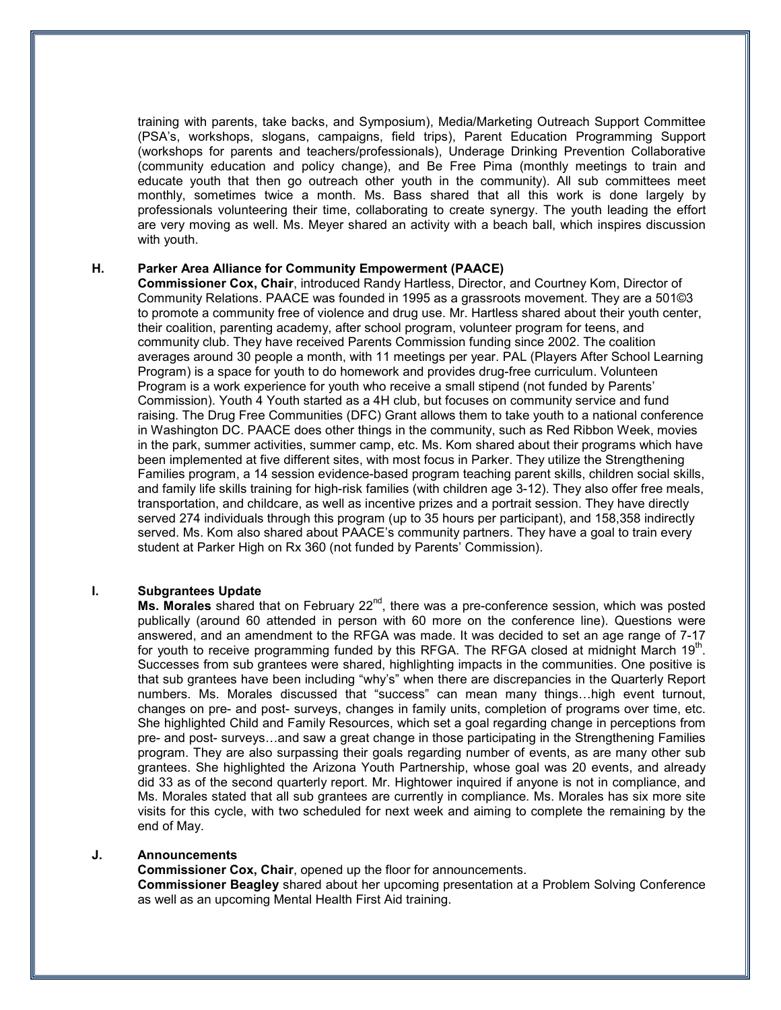training with parents, take backs, and Symposium), Media/Marketing Outreach Support Committee (PSA's, workshops, slogans, campaigns, field trips), Parent Education Programming Support (workshops for parents and teachers/professionals), Underage Drinking Prevention Collaborative (community education and policy change), and Be Free Pima (monthly meetings to train and educate youth that then go outreach other youth in the community). All sub committees meet monthly, sometimes twice a month. Ms. Bass shared that all this work is done largely by professionals volunteering their time, collaborating to create synergy. The youth leading the effort are very moving as well. Ms. Meyer shared an activity with a beach ball, which inspires discussion with youth.

## **H. Parker Area Alliance for Community Empowerment (PAACE)**

**Commissioner Cox, Chair**, introduced Randy Hartless, Director, and Courtney Kom, Director of Community Relations. PAACE was founded in 1995 as a grassroots movement. They are a 501©3 to promote a community free of violence and drug use. Mr. Hartless shared about their youth center, their coalition, parenting academy, after school program, volunteer program for teens, and community club. They have received Parents Commission funding since 2002. The coalition averages around 30 people a month, with 11 meetings per year. PAL (Players After School Learning Program) is a space for youth to do homework and provides drug-free curriculum. Volunteen Program is a work experience for youth who receive a small stipend (not funded by Parents' Commission). Youth 4 Youth started as a 4H club, but focuses on community service and fund raising. The Drug Free Communities (DFC) Grant allows them to take youth to a national conference in Washington DC. PAACE does other things in the community, such as Red Ribbon Week, movies in the park, summer activities, summer camp, etc. Ms. Kom shared about their programs which have been implemented at five different sites, with most focus in Parker. They utilize the Strengthening Families program, a 14 session evidence-based program teaching parent skills, children social skills, and family life skills training for high-risk families (with children age 3-12). They also offer free meals, transportation, and childcare, as well as incentive prizes and a portrait session. They have directly served 274 individuals through this program (up to 35 hours per participant), and 158,358 indirectly served. Ms. Kom also shared about PAACE's community partners. They have a goal to train every student at Parker High on Rx 360 (not funded by Parents' Commission).

### **I. Subgrantees Update**

**Ms. Morales** shared that on February 22<sup>nd</sup>, there was a pre-conference session, which was posted publically (around 60 attended in person with 60 more on the conference line). Questions were answered, and an amendment to the RFGA was made. It was decided to set an age range of 7-17 for youth to receive programming funded by this RFGA. The RFGA closed at midnight March  $19<sup>th</sup>$ . Successes from sub grantees were shared, highlighting impacts in the communities. One positive is that sub grantees have been including "why's" when there are discrepancies in the Quarterly Report numbers. Ms. Morales discussed that "success" can mean many things…high event turnout, changes on pre- and post- surveys, changes in family units, completion of programs over time, etc. She highlighted Child and Family Resources, which set a goal regarding change in perceptions from pre- and post- surveys…and saw a great change in those participating in the Strengthening Families program. They are also surpassing their goals regarding number of events, as are many other sub grantees. She highlighted the Arizona Youth Partnership, whose goal was 20 events, and already did 33 as of the second quarterly report. Mr. Hightower inquired if anyone is not in compliance, and Ms. Morales stated that all sub grantees are currently in compliance. Ms. Morales has six more site visits for this cycle, with two scheduled for next week and aiming to complete the remaining by the end of May.

#### **J. Announcements**

**Commissioner Cox, Chair**, opened up the floor for announcements. **Commissioner Beagley** shared about her upcoming presentation at a Problem Solving Conference as well as an upcoming Mental Health First Aid training.